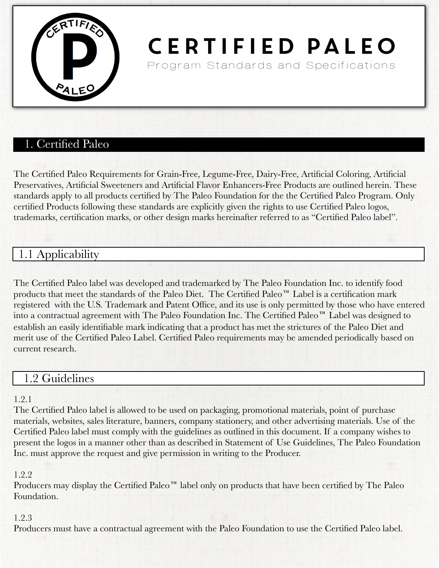

# Certified Paleo Program Standards and Specifications

# 1. Certified Paleo

The Certified Paleo Requirements for Grain-Free, Legume-Free, Dairy-Free, Artificial Coloring, Artificial Preservatives, Artificial Sweeteners and Artificial Flavor Enhancers-Free Products are outlined herein. These standards apply to all products certified by The Paleo Foundation for the the Certified Paleo Program. Only certified Products following these standards are explicitly given the rights to use Certified Paleo logos, trademarks, certification marks, or other design marks hereinafter referred to as "Certified Paleo label".

# 1.1 Applicability

The Certified Paleo label was developed and trademarked by The Paleo Foundation Inc. to identify food products that meet the standards of the Paleo Diet. The Certified Paleo™ Label is a certification mark registered with the U.S. Trademark and Patent Office, and its use is only permitted by those who have entered into a contractual agreement with The Paleo Foundation Inc. The Certified Paleo™ Label was designed to establish an easily identifiable mark indicating that a product has met the strictures of the Paleo Diet and merit use of the Certified Paleo Label. Certified Paleo requirements may be amended periodically based on current research.

### 1.2 Guidelines

#### 1.2.1

The Certified Paleo label is allowed to be used on packaging, promotional materials, point of purchase materials, websites, sales literature, banners, company stationery, and other advertising materials. Use of the Certified Paleo label must comply with the guidelines as outlined in this document. If a company wishes to present the logos in a manner other than as described in Statement of Use Guidelines, The Paleo Foundation Inc. must approve the request and give permission in writing to the Producer.

#### 1.2.2

Producers may display the Certified Paleo<sup> $m$ </sup> label only on products that have been certified by The Paleo Foundation.

#### 1.2.3

Producers must have a contractual agreement with the Paleo Foundation to use the Certified Paleo label.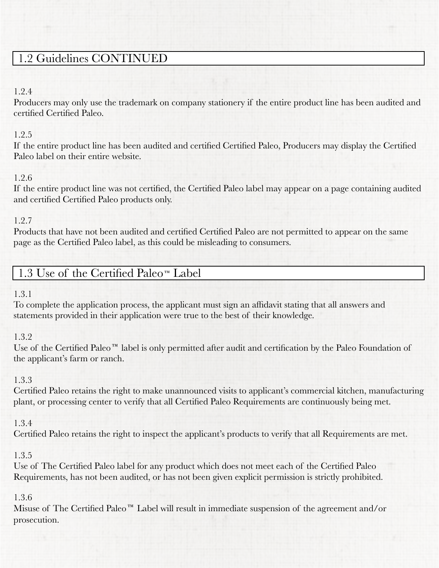# 1.2 Guidelines CONTINUED

#### 1.2.4

Producers may only use the trademark on company stationery if the entire product line has been audited and certified Certified Paleo.

#### 1.2.5

If the entire product line has been audited and certified Certified Paleo, Producers may display the Certified Paleo label on their entire website.

### 1.2.6

If the entire product line was not certified, the Certified Paleo label may appear on a page containing audited and certified Certified Paleo products only.

### 1.2.7

Products that have not been audited and certified Certified Paleo are not permitted to appear on the same page as the Certified Paleo label, as this could be misleading to consumers.

# 1.3 Use of the Certified Paleo<sup> $n$ </sup> Label

### 1.3.1

To complete the application process, the applicant must sign an affidavit stating that all answers and statements provided in their application were true to the best of their knowledge.

### 1.3.2

Use of the Certified Paleo<sup> $m$ </sup> label is only permitted after audit and certification by the Paleo Foundation of the applicant's farm or ranch.

### 1.3.3

Certified Paleo retains the right to make unannounced visits to applicant's commercial kitchen, manufacturing plant, or processing center to verify that all Certified Paleo Requirements are continuously being met.

### 1.3.4

Certified Paleo retains the right to inspect the applicant's products to verify that all Requirements are met.

### 1.3.5

Use of The Certified Paleo label for any product which does not meet each of the Certified Paleo Requirements, has not been audited, or has not been given explicit permission is strictly prohibited.

### 1.3.6

Misuse of The Certified Paleo<sup>™</sup> Label will result in immediate suspension of the agreement and/or prosecution.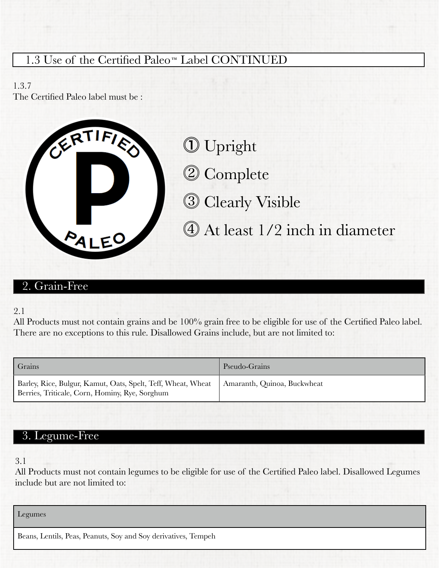# 1.3 Use of the Certified Paleo<sup>M</sup> Label CONTINUED

1.3.7 The Certified Paleo label must be :



㽟 Upright 㽠 Complete 㽡 Clearly Visible 㽢 At least 1/2 inch in diameter

### 2. Grain-Free

#### 2.1

All Products must not contain grains and be 100% grain free to be eligible for use of the Certified Paleo label. There are no exceptions to this rule. Disallowed Grains include, but are not limited to:

| Grains                                                                                                         | Pseudo-Grains               |
|----------------------------------------------------------------------------------------------------------------|-----------------------------|
| Barley, Rice, Bulgur, Kamut, Oats, Spelt, Teff, Wheat, Wheat<br>Berries, Triticale, Corn, Hominy, Rye, Sorghum | Amaranth, Quinoa, Buckwheat |

# 3. Legume-Free

3.1

All Products must not contain legumes to be eligible for use of the Certified Paleo label. Disallowed Legumes include but are not limited to:

Legumes

Beans, Lentils, Peas, Peanuts, Soy and Soy derivatives, Tempeh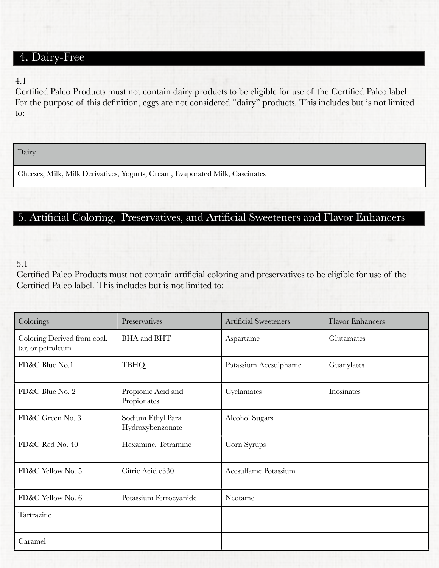### 4. Dairy-Free

#### 4.1

Certified Paleo Products must not contain dairy products to be eligible for use of the Certified Paleo label. For the purpose of this definition, eggs are not considered "dairy" products. This includes but is not limited to:

Dairy

Cheeses, Milk, Milk Derivatives, Yogurts, Cream, Evaporated Milk, Caseinates

### 5. Artificial Coloring, Preservatives, and Artificial Sweeteners and Flavor Enhancers

#### 5.1

Certified Paleo Products must not contain artificial coloring and preservatives to be eligible for use of the Certified Paleo label. This includes but is not limited to:

| Colorings                                        | Preservatives                         | <b>Artificial Sweeteners</b> | <b>Flavor Enhancers</b> |
|--------------------------------------------------|---------------------------------------|------------------------------|-------------------------|
| Coloring Derived from coal,<br>tar, or petroleum | <b>BHA</b> and <b>BHT</b>             | Aspartame                    | Glutamates              |
| FD&C Blue No.1                                   | <b>TBHQ</b>                           | Potassium Acesulphame        | Guanylates              |
| FD&C Blue No. 2                                  | Propionic Acid and<br>Propionates     | Cyclamates                   | Inosinates              |
| FD&C Green No. 3                                 | Sodium Ethyl Para<br>Hydroxybenzonate | <b>Alcohol Sugars</b>        |                         |
| FD&C Red No. 40                                  | Hexamine, Tetramine                   | Corn Syrups                  |                         |
| FD&C Yellow No. 5                                | Citric Acid e330                      | Acesulfame Potassium         |                         |
| FD&C Yellow No. 6                                | Potassium Ferrocyanide                | Neotame                      |                         |
| Tartrazine                                       |                                       |                              |                         |
| Caramel                                          |                                       |                              |                         |